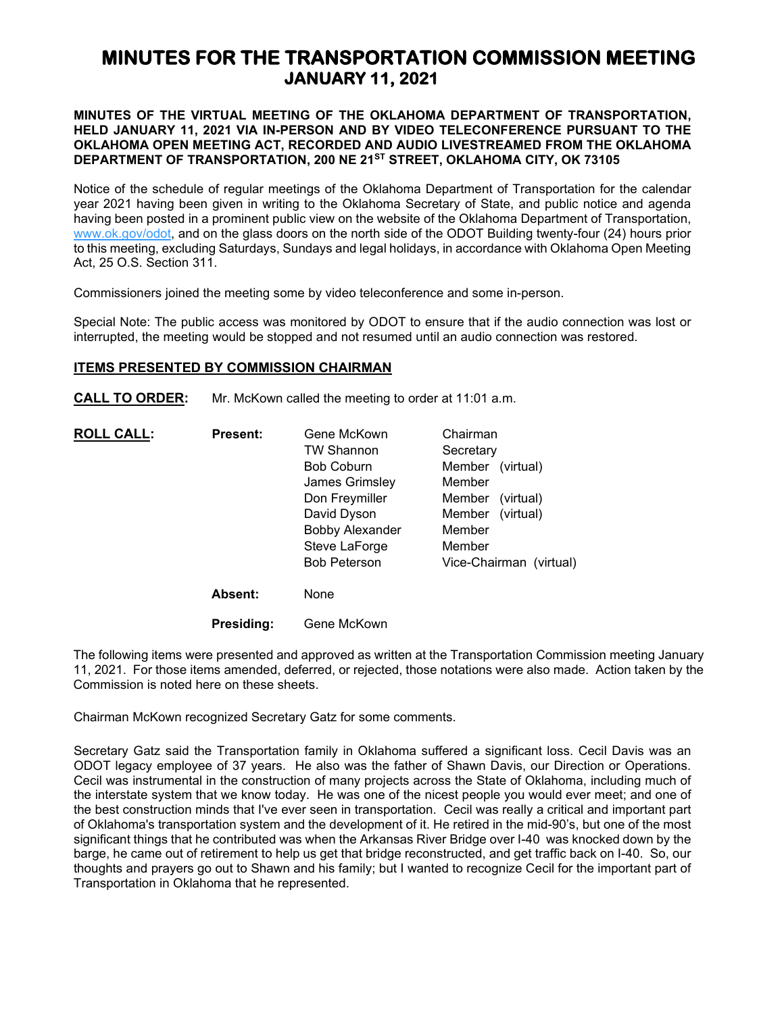# **MINUTES FOR THE TRANSPORTATION COMMISSION MEETING JANUARY 11, 2021**

## **MINUTES OF THE VIRTUAL MEETING OF THE OKLAHOMA DEPARTMENT OF TRANSPORTATION, HELD JANUARY 11, 2021 VIA IN-PERSON AND BY VIDEO TELECONFERENCE PURSUANT TO THE OKLAHOMA OPEN MEETING ACT, RECORDED AND AUDIO LIVESTREAMED FROM THE OKLAHOMA DEPARTMENT OF TRANSPORTATION, 200 NE 21ST STREET, OKLAHOMA CITY, OK 73105**

Notice of the schedule of regular meetings of the Oklahoma Department of Transportation for the calendar year 2021 having been given in writing to the Oklahoma Secretary of State, and public notice and agenda having been posted in a prominent public view on the website of the Oklahoma Department of Transportation, [www.ok.gov/odot,](http://www.ok.gov/odot) and on the glass doors on the north side of the ODOT Building twenty-four (24) hours prior to this meeting, excluding Saturdays, Sundays and legal holidays, in accordance with Oklahoma Open Meeting Act, 25 O.S. Section 311.

Commissioners joined the meeting some by video teleconference and some in-person.

Special Note: The public access was monitored by ODOT to ensure that if the audio connection was lost or interrupted, the meeting would be stopped and not resumed until an audio connection was restored.

### **ITEMS PRESENTED BY COMMISSION CHAIRMAN**

**CALL TO ORDER:** Mr. McKown called the meeting to order at 11:01 a.m.

| <u>ROLL CALL:</u> | <b>Present:</b> | Gene McKown<br><b>TW Shannon</b><br><b>Bob Coburn</b><br>James Grimsley<br>Don Freymiller<br>David Dyson<br><b>Bobby Alexander</b> | Chairman<br>Secretary<br>Member (virtual)<br>Member<br>Member<br>(virtual)<br>Member<br>(virtual)<br>Member |
|-------------------|-----------------|------------------------------------------------------------------------------------------------------------------------------------|-------------------------------------------------------------------------------------------------------------|
|                   |                 | Steve LaForge<br><b>Bob Peterson</b>                                                                                               | Member<br>Vice-Chairman (virtual)                                                                           |
|                   | <b>Absent:</b>  | None                                                                                                                               |                                                                                                             |
|                   | Presiding:      | Gene McKown                                                                                                                        |                                                                                                             |

The following items were presented and approved as written at the Transportation Commission meeting January 11, 2021. For those items amended, deferred, or rejected, those notations were also made. Action taken by the Commission is noted here on these sheets.

Chairman McKown recognized Secretary Gatz for some comments.

Secretary Gatz said the Transportation family in Oklahoma suffered a significant loss. Cecil Davis was an ODOT legacy employee of 37 years. He also was the father of Shawn Davis, our Direction or Operations. Cecil was instrumental in the construction of many projects across the State of Oklahoma, including much of the interstate system that we know today. He was one of the nicest people you would ever meet; and one of the best construction minds that I've ever seen in transportation. Cecil was really a critical and important part of Oklahoma's transportation system and the development of it. He retired in the mid-90's, but one of the most significant things that he contributed was when the Arkansas River Bridge over I-40 was knocked down by the barge, he came out of retirement to help us get that bridge reconstructed, and get traffic back on I-40. So, our thoughts and prayers go out to Shawn and his family; but I wanted to recognize Cecil for the important part of Transportation in Oklahoma that he represented.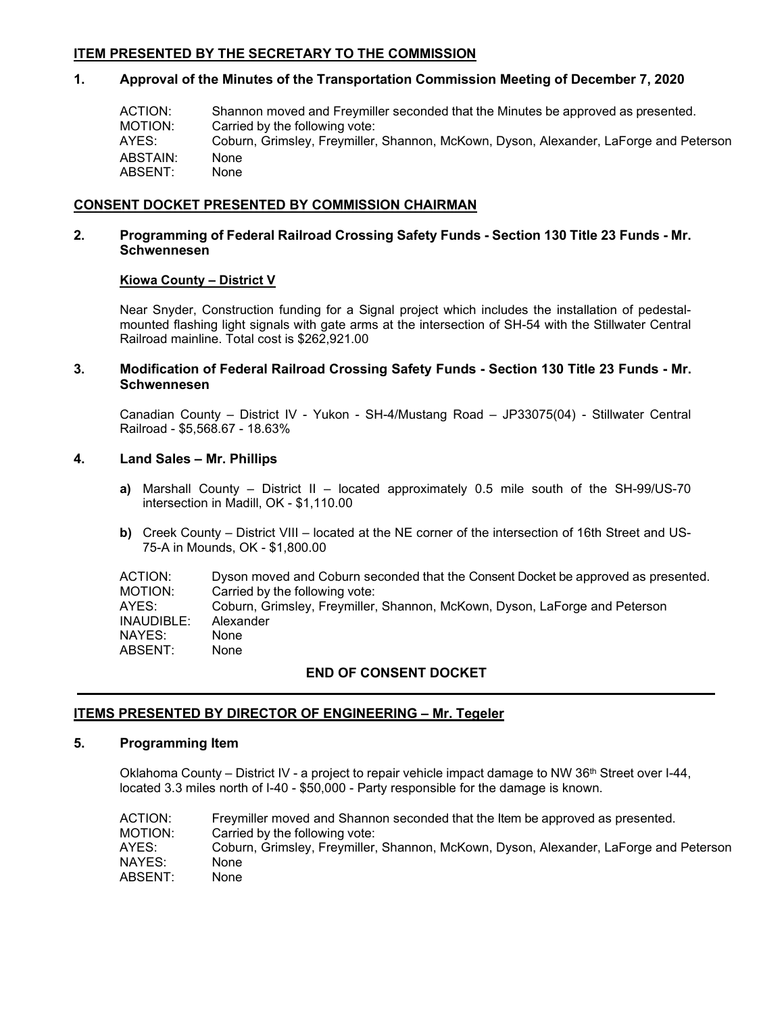# **ITEM PRESENTED BY THE SECRETARY TO THE COMMISSION**

# **1. Approval of the Minutes of the Transportation Commission Meeting of December 7, 2020**

| ACTION:  | Shannon moved and Freymiller seconded that the Minutes be approved as presented.      |
|----------|---------------------------------------------------------------------------------------|
| MOTION:  | Carried by the following vote:                                                        |
| AYES:    | Coburn, Grimsley, Freymiller, Shannon, McKown, Dyson, Alexander, LaForge and Peterson |
| ABSTAIN: | None                                                                                  |
| ABSENT:  | None                                                                                  |

# **CONSENT DOCKET PRESENTED BY COMMISSION CHAIRMAN**

# **2. Programming of Federal Railroad Crossing Safety Funds - Section 130 Title 23 Funds - Mr. Schwennesen**

# **Kiowa County – District V**

Near Snyder, Construction funding for a Signal project which includes the installation of pedestalmounted flashing light signals with gate arms at the intersection of SH-54 with the Stillwater Central Railroad mainline. Total cost is \$262,921.00

# **3. Modification of Federal Railroad Crossing Safety Funds - Section 130 Title 23 Funds - Mr. Schwennesen**

Canadian County – District IV - Yukon - SH-4/Mustang Road – JP33075(04) - Stillwater Central Railroad - \$5,568.67 - 18.63%

# **4. Land Sales – Mr. Phillips**

- **a)** Marshall County District II located approximately 0.5 mile south of the SH-99/US-70 intersection in Madill, OK - \$1,110.00
- **b)** Creek County District VIII located at the NE corner of the intersection of 16th Street and US-75-A in Mounds, OK - \$1,800.00

| ACTION:<br>MOTION: | Dyson moved and Coburn seconded that the Consent Docket be approved as presented.<br>Carried by the following vote: |
|--------------------|---------------------------------------------------------------------------------------------------------------------|
| AYES:              | Coburn, Grimsley, Freymiller, Shannon, McKown, Dyson, LaForge and Peterson                                          |
| INAUDIBLE:         | Alexander                                                                                                           |
| NAYES:             | None                                                                                                                |
| ABSENT:            | None                                                                                                                |

# **END OF CONSENT DOCKET**

# **ITEMS PRESENTED BY DIRECTOR OF ENGINEERING – Mr. Tegeler**

# **5. Programming Item**

Oklahoma County – District IV - a project to repair vehicle impact damage to NW 36<sup>th</sup> Street over I-44, located 3.3 miles north of I-40 - \$50,000 - Party responsible for the damage is known.

| Coburn, Grimsley, Freymiller, Shannon, McKown, Dyson, Alexander, LaForge and Peterson |
|---------------------------------------------------------------------------------------|
|                                                                                       |
|                                                                                       |
|                                                                                       |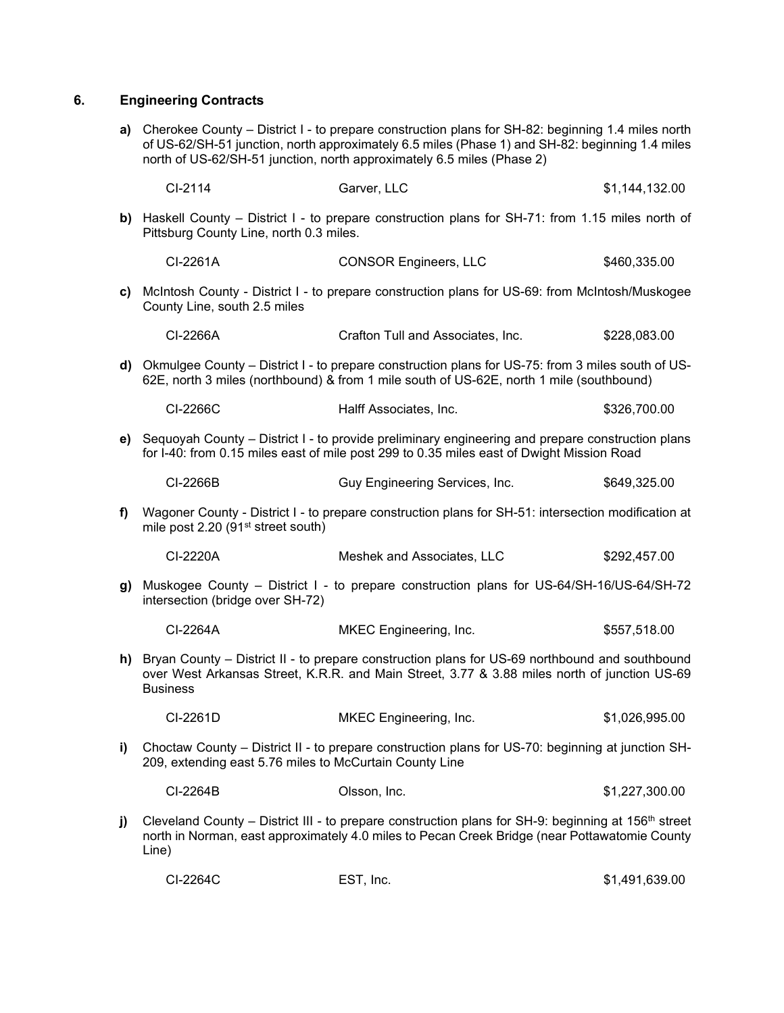# **6. Engineering Contracts**

**a)** Cherokee County – District I - to prepare construction plans for SH-82: beginning 1.4 miles north of US-62/SH-51 junction, north approximately 6.5 miles (Phase 1) and SH-82: beginning 1.4 miles north of US-62/SH-51 junction, north approximately 6.5 miles (Phase 2)

|      | CI-2114                                        | Garver, LLC                                                                                                                                                                                    | \$1,144,132.00 |
|------|------------------------------------------------|------------------------------------------------------------------------------------------------------------------------------------------------------------------------------------------------|----------------|
|      | Pittsburg County Line, north 0.3 miles.        | b) Haskell County – District I - to prepare construction plans for SH-71: from 1.15 miles north of                                                                                             |                |
|      | CI-2261A                                       | <b>CONSOR Engineers, LLC</b>                                                                                                                                                                   | \$460,335.00   |
| c)   | County Line, south 2.5 miles                   | McIntosh County - District I - to prepare construction plans for US-69: from McIntosh/Muskogee                                                                                                 |                |
|      | CI-2266A                                       | Crafton Tull and Associates, Inc.                                                                                                                                                              | \$228,083.00   |
| d)   |                                                | Okmulgee County – District I - to prepare construction plans for US-75: from 3 miles south of US-<br>62E, north 3 miles (northbound) & from 1 mile south of US-62E, north 1 mile (southbound)  |                |
|      | CI-2266C                                       | Halff Associates, Inc.                                                                                                                                                                         | \$326,700.00   |
| e)   |                                                | Sequoyah County - District I - to provide preliminary engineering and prepare construction plans<br>for I-40: from 0.15 miles east of mile post 299 to 0.35 miles east of Dwight Mission Road  |                |
|      | CI-2266B                                       | Guy Engineering Services, Inc.                                                                                                                                                                 | \$649,325.00   |
| f)   | mile post 2.20 (91 <sup>st</sup> street south) | Wagoner County - District I - to prepare construction plans for SH-51: intersection modification at                                                                                            |                |
|      | CI-2220A                                       | Meshek and Associates, LLC                                                                                                                                                                     | \$292,457.00   |
| g) l | intersection (bridge over SH-72)               | Muskogee County – District I - to prepare construction plans for US-64/SH-16/US-64/SH-72                                                                                                       |                |
|      | CI-2264A                                       | MKEC Engineering, Inc.                                                                                                                                                                         | \$557,518.00   |
| h)   | <b>Business</b>                                | Bryan County – District II - to prepare construction plans for US-69 northbound and southbound<br>over West Arkansas Street, K.R.R. and Main Street, 3.77 & 3.88 miles north of junction US-69 |                |
|      | CI-2261D                                       | MKEC Engineering, Inc.                                                                                                                                                                         | \$1,026,995.00 |
|      |                                                |                                                                                                                                                                                                |                |

**i)** Choctaw County – District II - to prepare construction plans for US-70: beginning at junction SH-209, extending east 5.76 miles to McCurtain County Line

| CI-2264B | Olsson. Inc. | \$1,227,300.00 |
|----------|--------------|----------------|
|          |              |                |

**j)** Cleveland County – District III - to prepare construction plans for SH-9: beginning at 156<sup>th</sup> street north in Norman, east approximately 4.0 miles to Pecan Creek Bridge (near Pottawatomie County Line)

| CI-2264C<br>EST, Inc. | \$1,491,639.00 |
|-----------------------|----------------|
|-----------------------|----------------|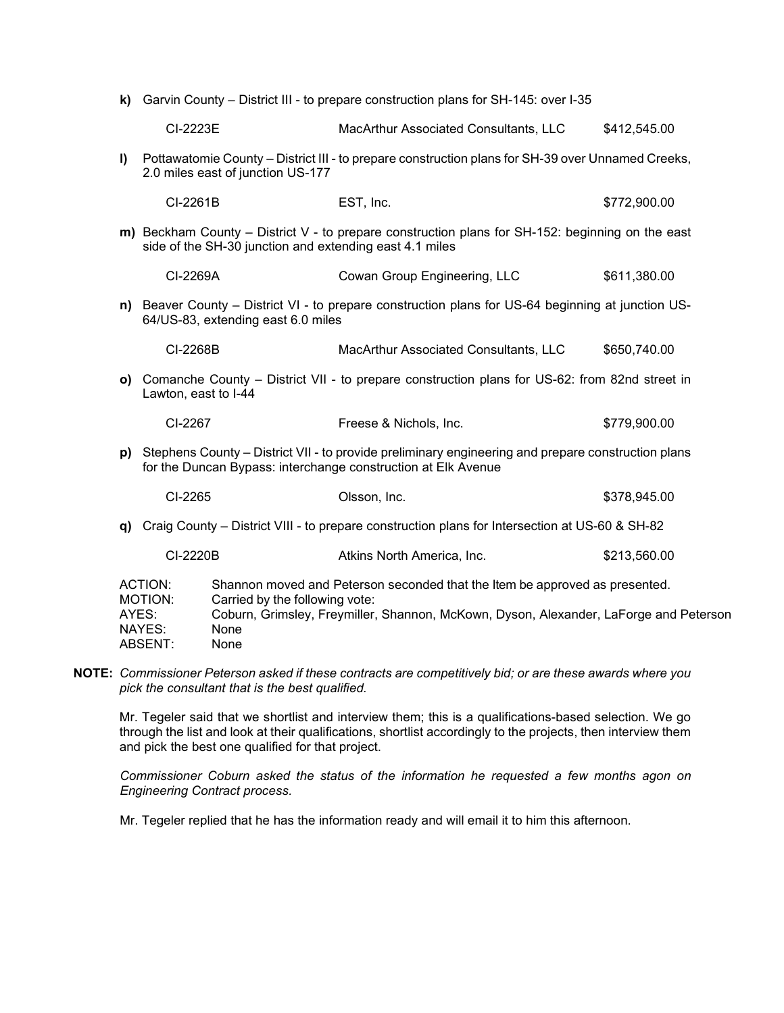| k)                                                                                                                                                                                                                                                                                       | Garvin County – District III - to prepare construction plans for SH-145: over I-35                                                     |                                                         |                                                                                                                                                                     |              |
|------------------------------------------------------------------------------------------------------------------------------------------------------------------------------------------------------------------------------------------------------------------------------------------|----------------------------------------------------------------------------------------------------------------------------------------|---------------------------------------------------------|---------------------------------------------------------------------------------------------------------------------------------------------------------------------|--------------|
|                                                                                                                                                                                                                                                                                          | CI-2223E                                                                                                                               |                                                         | MacArthur Associated Consultants, LLC                                                                                                                               | \$412,545.00 |
| $\mathbf{I}$                                                                                                                                                                                                                                                                             | Pottawatomie County – District III - to prepare construction plans for SH-39 over Unnamed Creeks,<br>2.0 miles east of junction US-177 |                                                         |                                                                                                                                                                     |              |
|                                                                                                                                                                                                                                                                                          | CI-2261B                                                                                                                               |                                                         | EST, Inc.                                                                                                                                                           | \$772,900.00 |
|                                                                                                                                                                                                                                                                                          |                                                                                                                                        | side of the SH-30 junction and extending east 4.1 miles | m) Beckham County – District V - to prepare construction plans for SH-152: beginning on the east                                                                    |              |
|                                                                                                                                                                                                                                                                                          | CI-2269A                                                                                                                               |                                                         | Cowan Group Engineering, LLC                                                                                                                                        | \$611,380.00 |
|                                                                                                                                                                                                                                                                                          |                                                                                                                                        | 64/US-83, extending east 6.0 miles                      | n) Beaver County – District VI - to prepare construction plans for US-64 beginning at junction US-                                                                  |              |
|                                                                                                                                                                                                                                                                                          | CI-2268B                                                                                                                               |                                                         | MacArthur Associated Consultants, LLC                                                                                                                               | \$650,740.00 |
|                                                                                                                                                                                                                                                                                          | Lawton, east to I-44                                                                                                                   |                                                         | o) Comanche County - District VII - to prepare construction plans for US-62: from 82nd street in                                                                    |              |
|                                                                                                                                                                                                                                                                                          | CI-2267                                                                                                                                |                                                         | Freese & Nichols, Inc.                                                                                                                                              | \$779,900.00 |
| p)                                                                                                                                                                                                                                                                                       |                                                                                                                                        |                                                         | Stephens County – District VII - to provide preliminary engineering and prepare construction plans<br>for the Duncan Bypass: interchange construction at Elk Avenue |              |
|                                                                                                                                                                                                                                                                                          | CI-2265                                                                                                                                |                                                         | Olsson, Inc.                                                                                                                                                        | \$378,945.00 |
| Q)                                                                                                                                                                                                                                                                                       |                                                                                                                                        |                                                         | Craig County - District VIII - to prepare construction plans for Intersection at US-60 & SH-82                                                                      |              |
|                                                                                                                                                                                                                                                                                          | CI-2220B                                                                                                                               |                                                         | Atkins North America, Inc.                                                                                                                                          | \$213,560.00 |
| <b>ACTION:</b><br>Shannon moved and Peterson seconded that the Item be approved as presented.<br>Carried by the following vote:<br>MOTION:<br>Coburn, Grimsley, Freymiller, Shannon, McKown, Dyson, Alexander, LaForge and Peterson<br>AYES:<br>NAYES:<br>None<br><b>ABSENT:</b><br>None |                                                                                                                                        |                                                         |                                                                                                                                                                     |              |

**NOTE:** *Commissioner Peterson asked if these contracts are competitively bid; or are these awards where you pick the consultant that is the best qualified.*

Mr. Tegeler said that we shortlist and interview them; this is a qualifications-based selection. We go through the list and look at their qualifications, shortlist accordingly to the projects, then interview them and pick the best one qualified for that project.

*Commissioner Coburn asked the status of the information he requested a few months agon on Engineering Contract process.* 

Mr. Tegeler replied that he has the information ready and will email it to him this afternoon.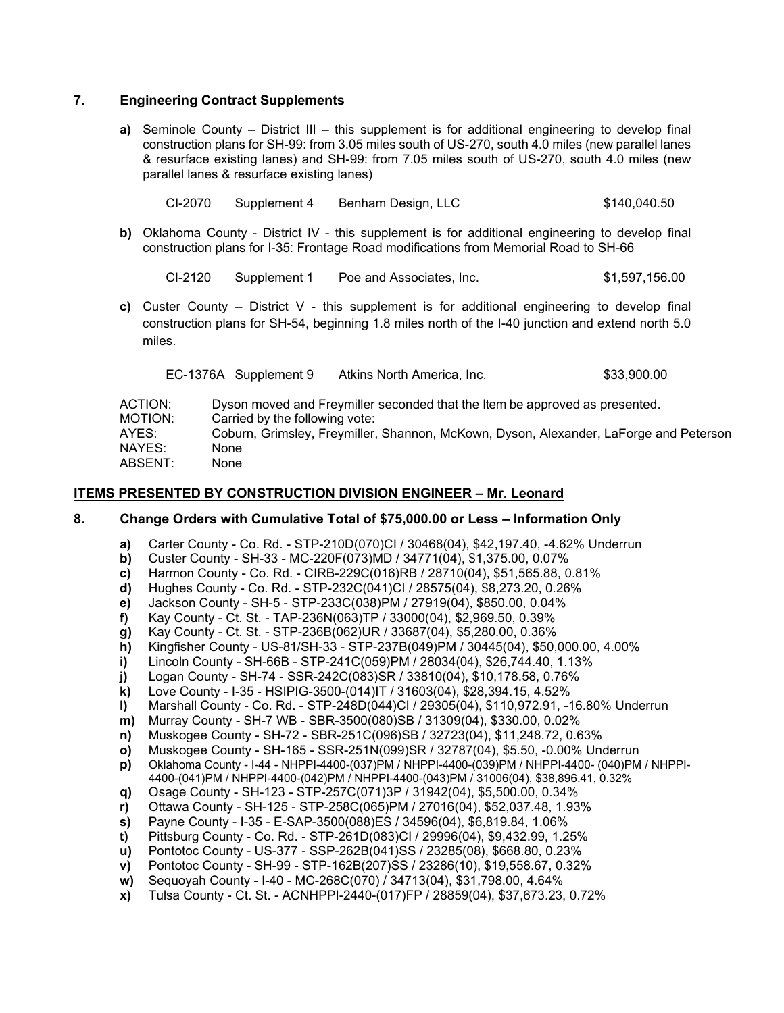# **7. Engineering Contract Supplements**

**a)** Seminole County – District III – this supplement is for additional engineering to develop final construction plans for SH-99: from 3.05 miles south of US-270, south 4.0 miles (new parallel lanes & resurface existing lanes) and SH-99: from 7.05 miles south of US-270, south 4.0 miles (new parallel lanes & resurface existing lanes)

| CI-2070 | Supplement 4 | Benham Design, LLC | \$140,040.50 |
|---------|--------------|--------------------|--------------|
|         |              |                    |              |

**b)** Oklahoma County - District IV - this supplement is for additional engineering to develop final construction plans for I-35: Frontage Road modifications from Memorial Road to SH-66

CI-2120 Supplement 1 Poe and Associates, Inc. \$1,597,156.00

**c)** Custer County – District V - this supplement is for additional engineering to develop final construction plans for SH-54, beginning 1.8 miles north of the I-40 junction and extend north 5.0 miles.

| EC-1376A Supplement 9 | Atkins North America. Inc. | \$33,900.00 |
|-----------------------|----------------------------|-------------|
|                       |                            |             |

| ACTION: | Dyson moved and Freymiller seconded that the Item be approved as presented.           |
|---------|---------------------------------------------------------------------------------------|
| MOTION: | Carried by the following vote:                                                        |
| AYES:   | Coburn, Grimsley, Freymiller, Shannon, McKown, Dyson, Alexander, LaForge and Peterson |
| NAYES:  | None                                                                                  |
| ABSENT: | None                                                                                  |

#### **ITEMS PRESENTED BY CONSTRUCTION DIVISION ENGINEER – Mr. Leonard**

#### **8. Change Orders with Cumulative Total of \$75,000.00 or Less – Information Only**

- **a)** Carter County Co. Rd. STP-210D(070)CI / 30468(04), \$42,197.40, -4.62% Underrun
- **b)** Custer County SH-33 MC-220F(073)MD / 34771(04), \$1,375.00, 0.07%
- **c)** Harmon County Co. Rd. CIRB-229C(016)RB / 28710(04), \$51,565.88, 0.81%
- **d)** Hughes County Co. Rd. STP-232C(041)CI / 28575(04), \$8,273.20, 0.26%
- **e)** Jackson County SH-5 STP-233C(038)PM / 27919(04), \$850.00, 0.04%
- **f)** Kay County Ct. St. TAP-236N(063)TP / 33000(04), \$2,969.50, 0.39%
- **g)** Kay County Ct. St. STP-236B(062)UR / 33687(04), \$5,280.00, 0.36%
- **h)** Kingfisher County US-81/SH-33 STP-237B(049)PM / 30445(04), \$50,000.00, 4.00%
- **i)** Lincoln County SH-66B STP-241C(059)PM / 28034(04), \$26,744.40, 1.13%
- **j)** Logan County SH-74 SSR-242C(083)SR / 33810(04), \$10,178.58, 0.76%
- **k)** Love County I-35 HSIPIG-3500-(014)IT / 31603(04), \$28,394.15, 4.52%
- **l)** Marshall County Co. Rd. STP-248D(044)CI / 29305(04), \$110,972.91, -16.80% Underrun
- **m)** Murray County SH-7 WB SBR-3500(080)SB / 31309(04), \$330.00, 0.02%
- **n)** Muskogee County SH-72 SBR-251C(096)SB / 32723(04), \$11,248.72, 0.63%
- **o)** Muskogee County SH-165 SSR-251N(099)SR / 32787(04), \$5.50, -0.00% Underrun
- **p)** Oklahoma County I-44 NHPPI-4400-(037)PM / NHPPI-4400-(039)PM / NHPPI-4400- (040)PM / NHPPI-4400-(041)PM / NHPPI-4400-(042)PM / NHPPI-4400-(043)PM / 31006(04), \$38,896.41, 0.32%
- **q)** Osage County SH-123 STP-257C(071)3P / 31942(04), \$5,500.00, 0.34%
- **r)** Ottawa County SH-125 STP-258C(065)PM / 27016(04), \$52,037.48, 1.93%
- **s)** Payne County I-35 E-SAP-3500(088)ES / 34596(04), \$6,819.84, 1.06%
- **t)** Pittsburg County Co. Rd. STP-261D(083)CI / 29996(04), \$9,432.99, 1.25%
- **u)** Pontotoc County US-377 SSP-262B(041)SS / 23285(08), \$668.80, 0.23%
- **v)** Pontotoc County SH-99 STP-162B(207)SS / 23286(10), \$19,558.67, 0.32%
- **w)** Sequoyah County I-40 MC-268C(070) / 34713(04), \$31,798.00, 4.64%
- **x)** Tulsa County Ct. St. ACNHPPI-2440-(017)FP / 28859(04), \$37,673.23, 0.72%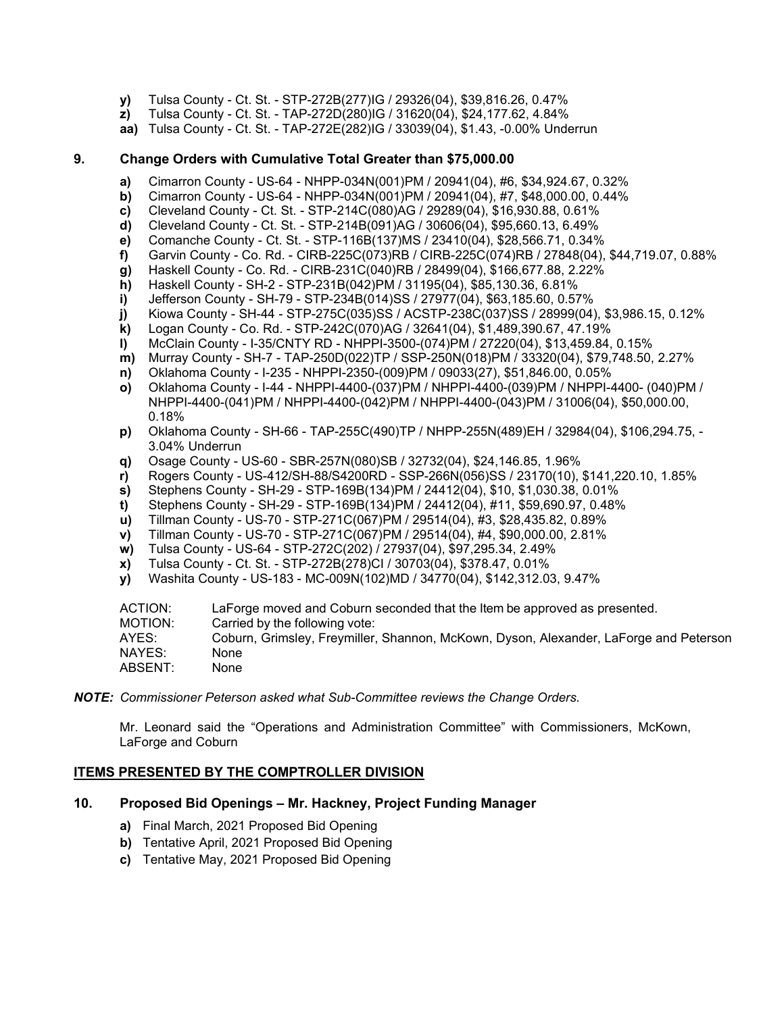- **y)** Tulsa County Ct. St. STP-272B(277)IG / 29326(04), \$39,816.26, 0.47%
- **z)** Tulsa County Ct. St. TAP-272D(280)IG / 31620(04), \$24,177.62, 4.84%
- **aa)** Tulsa County Ct. St. TAP-272E(282)IG / 33039(04), \$1.43, -0.00% Underrun

### **9. Change Orders with Cumulative Total Greater than \$75,000.00**

- **a)** Cimarron County US-64 NHPP-034N(001)PM / 20941(04), #6, \$34,924.67, 0.32%
- **b)** Cimarron County US-64 NHPP-034N(001)PM / 20941(04), #7, \$48,000.00, 0.44%<br>**c)** Cleveland County Ct. St. STP-214C(080)AG / 29289(04), \$16,930.88, 0.61%
- **c)** Cleveland County Ct. St. STP-214C(080)AG / 29289(04), \$16,930.88, 0.61%
- **d)** Cleveland County Ct. St. STP-214B(091)AG / 30606(04), \$95,660.13, 6.49%
- **e)** Comanche County Ct. St. STP-116B(137)MS / 23410(04), \$28,566.71, 0.34%
- **f)** Garvin County Co. Rd. CIRB-225C(073)RB / CIRB-225C(074)RB / 27848(04), \$44,719.07, 0.88%
- **g)** Haskell County Co. Rd. CIRB-231C(040)RB / 28499(04), \$166,677.88, 2.22%
- **h)** Haskell County SH-2 STP-231B(042)PM / 31195(04), \$85,130.36, 6.81%
- **i)** Jefferson County SH-79 STP-234B(014)SS / 27977(04), \$63,185.60, 0.57%
- **j)** Kiowa County SH-44 STP-275C(035)SS / ACSTP-238C(037)SS / 28999(04), \$3,986.15, 0.12%
- **k)** Logan County Co. Rd. STP-242C(070)AG / 32641(04), \$1,489,390.67, 47.19%
- **l)** McClain County I-35/CNTY RD NHPPI-3500-(074)PM / 27220(04), \$13,459.84, 0.15%
- **m)** Murray County SH-7 TAP-250D(022)TP / SSP-250N(018)PM / 33320(04), \$79,748.50, 2.27%
- **n)** Oklahoma County I-235 NHPPI-2350-(009)PM / 09033(27), \$51,846.00, 0.05%
- **o)** Oklahoma County I-44 NHPPI-4400-(037)PM / NHPPI-4400-(039)PM / NHPPI-4400- (040)PM / NHPPI-4400-(041)PM / NHPPI-4400-(042)PM / NHPPI-4400-(043)PM / 31006(04), \$50,000.00, 0.18%
- **p)** Oklahoma County SH-66 TAP-255C(490)TP / NHPP-255N(489)EH / 32984(04), \$106,294.75, 3.04% Underrun
- **q)** Osage County US-60 SBR-257N(080)SB / 32732(04), \$24,146.85, 1.96%
- **r)** Rogers County US-412/SH-88/S4200RD SSP-266N(056)SS / 23170(10), \$141,220.10, 1.85%
- 
- **s)** Stephens County SH-29 STP-169B(134)PM / 24412(04), \$10, \$1,030.38, 0.01% **t)** Stephens County - SH-29 - STP-169B(134)PM / 24412(04), #11, \$59,690.97, 0.48%
- **u)** Tillman County US-70 STP-271C(067)PM / 29514(04), #3, \$28,435.82, 0.89%
- **v)** Tillman County US-70 STP-271C(067)PM / 29514(04), #4, \$90,000.00, 2.81%
- **w)** Tulsa County US-64 STP-272C(202) / 27937(04), \$97,295.34, 2.49%
- **x)** Tulsa County Ct. St. STP-272B(278)CI / 30703(04), \$378.47, 0.01%
- **y)** Washita County US-183 MC-009N(102)MD / 34770(04), \$142,312.03, 9.47%

| ACTION: | LaForge moved and Coburn seconded that the Item be approved as presented.             |
|---------|---------------------------------------------------------------------------------------|
| MOTION: | Carried by the following vote:                                                        |
| AYES:   | Coburn, Grimsley, Freymiller, Shannon, McKown, Dyson, Alexander, LaForge and Peterson |
| NAYES:  | None                                                                                  |
| ABSENT: | None                                                                                  |
|         |                                                                                       |

*NOTE: Commissioner Peterson asked what Sub-Committee reviews the Change Orders.*

Mr. Leonard said the "Operations and Administration Committee" with Commissioners, McKown, LaForge and Coburn

### **ITEMS PRESENTED BY THE COMPTROLLER DIVISION**

### **10. Proposed Bid Openings – Mr. Hackney, Project Funding Manager**

- **a)** Final March, 2021 Proposed Bid Opening
- **b)** Tentative April, 2021 Proposed Bid Opening
- **c)** Tentative May, 2021 Proposed Bid Opening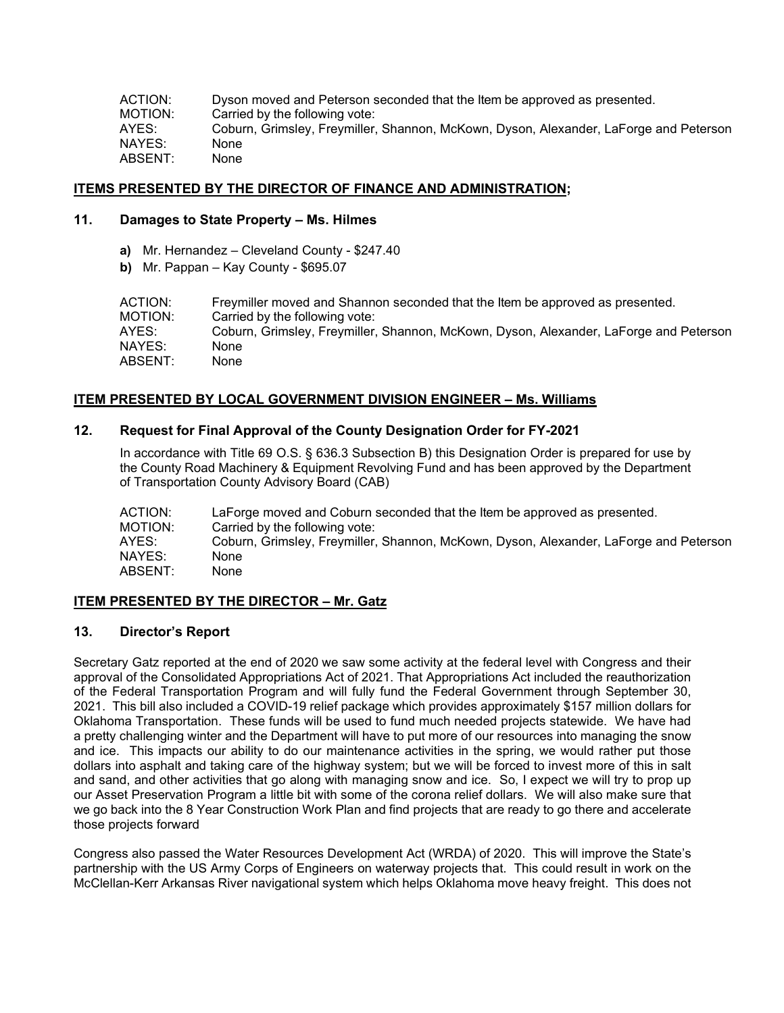ACTION: Dyson moved and Peterson seconded that the Item be approved as presented.<br>MOTION: Carried by the following vote: MOTION: Carried by the following vote:<br>AYES: Coburn. Grimslev. Frevmiller. Coburn, Grimsley, Freymiller, Shannon, McKown, Dyson, Alexander, LaForge and Peterson<br>None NAYES: ABSENT: None

# **ITEMS PRESENTED BY THE DIRECTOR OF FINANCE AND ADMINISTRATION;**

### **11. Damages to State Property – Ms. Hilmes**

- **a)** Mr. Hernandez Cleveland County \$247.40
- **b)** Mr. Pappan Kay County \$695.07

| Freymiller moved and Shannon seconded that the Item be approved as presented.         |
|---------------------------------------------------------------------------------------|
| Carried by the following vote:                                                        |
| Coburn, Grimsley, Freymiller, Shannon, McKown, Dyson, Alexander, LaForge and Peterson |
| None                                                                                  |
| None                                                                                  |
|                                                                                       |

# **ITEM PRESENTED BY LOCAL GOVERNMENT DIVISION ENGINEER – Ms. Williams**

# **12. Request for Final Approval of the County Designation Order for FY-2021**

In accordance with Title 69 O.S. § 636.3 Subsection B) this Designation Order is prepared for use by the County Road Machinery & Equipment Revolving Fund and has been approved by the Department of Transportation County Advisory Board (CAB)

ACTION: LaForge moved and Coburn seconded that the Item be approved as presented.<br>MOTION: Carried by the following vote: MOTION: Carried by the following vote:<br>AYES: Coburn Grimsley Freymiller Coburn, Grimsley, Freymiller, Shannon, McKown, Dyson, Alexander, LaForge and Peterson NAYES: None ABSENT: None

# **ITEM PRESENTED BY THE DIRECTOR – Mr. Gatz**

# **13. Director's Report**

Secretary Gatz reported at the end of 2020 we saw some activity at the federal level with Congress and their approval of the Consolidated Appropriations Act of 2021. That Appropriations Act included the reauthorization of the Federal Transportation Program and will fully fund the Federal Government through September 30, 2021. This bill also included a COVID-19 relief package which provides approximately \$157 million dollars for Oklahoma Transportation. These funds will be used to fund much needed projects statewide. We have had a pretty challenging winter and the Department will have to put more of our resources into managing the snow and ice. This impacts our ability to do our maintenance activities in the spring, we would rather put those dollars into asphalt and taking care of the highway system; but we will be forced to invest more of this in salt and sand, and other activities that go along with managing snow and ice. So, I expect we will try to prop up our Asset Preservation Program a little bit with some of the corona relief dollars. We will also make sure that we go back into the 8 Year Construction Work Plan and find projects that are ready to go there and accelerate those projects forward

Congress also passed the Water Resources Development Act (WRDA) of 2020. This will improve the State's partnership with the US Army Corps of Engineers on waterway projects that. This could result in work on the McClellan-Kerr Arkansas River navigational system which helps Oklahoma move heavy freight. This does not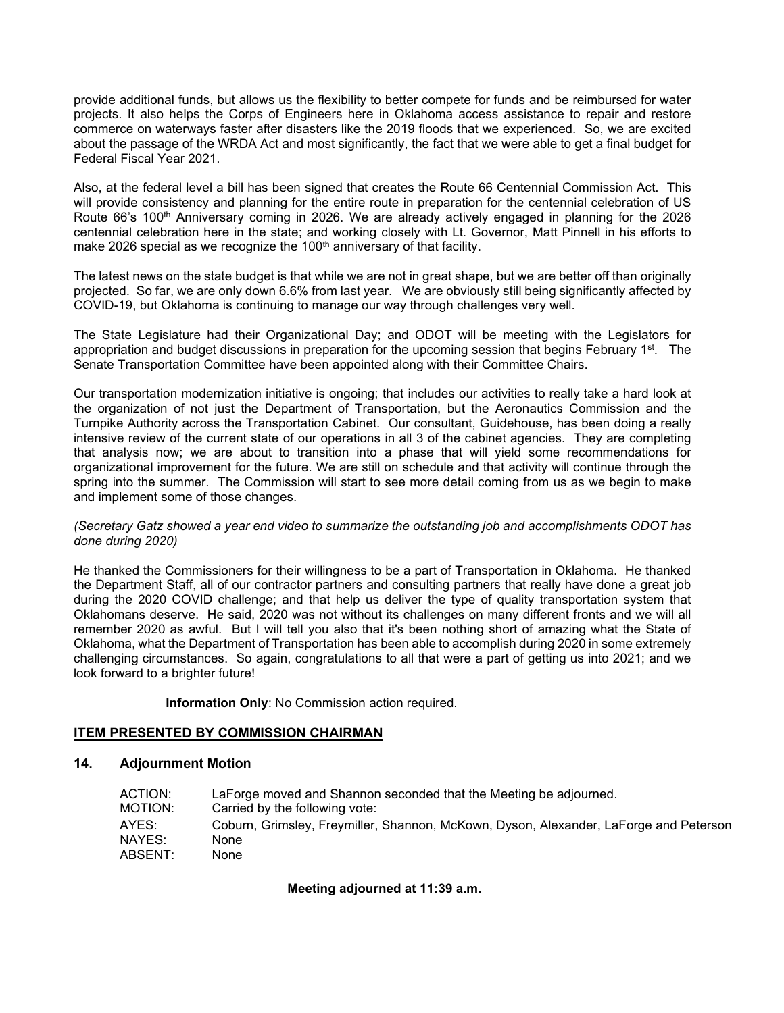provide additional funds, but allows us the flexibility to better compete for funds and be reimbursed for water projects. It also helps the Corps of Engineers here in Oklahoma access assistance to repair and restore commerce on waterways faster after disasters like the 2019 floods that we experienced. So, we are excited about the passage of the WRDA Act and most significantly, the fact that we were able to get a final budget for Federal Fiscal Year 2021.

Also, at the federal level a bill has been signed that creates the Route 66 Centennial Commission Act. This will provide consistency and planning for the entire route in preparation for the centennial celebration of US Route 66's 100<sup>th</sup> Anniversary coming in 2026. We are already actively engaged in planning for the 2026 centennial celebration here in the state; and working closely with Lt. Governor, Matt Pinnell in his efforts to make 2026 special as we recognize the 100<sup>th</sup> anniversary of that facility.

The latest news on the state budget is that while we are not in great shape, but we are better off than originally projected. So far, we are only down 6.6% from last year. We are obviously still being significantly affected by COVID-19, but Oklahoma is continuing to manage our way through challenges very well.

The State Legislature had their Organizational Day; and ODOT will be meeting with the Legislators for appropriation and budget discussions in preparation for the upcoming session that begins February  $1^{st}$ . The Senate Transportation Committee have been appointed along with their Committee Chairs.

Our transportation modernization initiative is ongoing; that includes our activities to really take a hard look at the organization of not just the Department of Transportation, but the Aeronautics Commission and the Turnpike Authority across the Transportation Cabinet. Our consultant, Guidehouse, has been doing a really intensive review of the current state of our operations in all 3 of the cabinet agencies. They are completing that analysis now; we are about to transition into a phase that will yield some recommendations for organizational improvement for the future. We are still on schedule and that activity will continue through the spring into the summer. The Commission will start to see more detail coming from us as we begin to make and implement some of those changes.

### *(Secretary Gatz showed a year end video to summarize the outstanding job and accomplishments ODOT has done during 2020)*

He thanked the Commissioners for their willingness to be a part of Transportation in Oklahoma. He thanked the Department Staff, all of our contractor partners and consulting partners that really have done a great job during the 2020 COVID challenge; and that help us deliver the type of quality transportation system that Oklahomans deserve. He said, 2020 was not without its challenges on many different fronts and we will all remember 2020 as awful. But I will tell you also that it's been nothing short of amazing what the State of Oklahoma, what the Department of Transportation has been able to accomplish during 2020 in some extremely challenging circumstances. So again, congratulations to all that were a part of getting us into 2021; and we look forward to a brighter future!

**Information Only**: No Commission action required.

# **ITEM PRESENTED BY COMMISSION CHAIRMAN**

# **14. Adjournment Motion**

| ACTION: | LaForge moved and Shannon seconded that the Meeting be adjourned.                     |
|---------|---------------------------------------------------------------------------------------|
| MOTION: | Carried by the following vote:                                                        |
| AYES:   | Coburn, Grimsley, Freymiller, Shannon, McKown, Dyson, Alexander, LaForge and Peterson |
| NAYES:  | None                                                                                  |
| ABSENT: | None                                                                                  |

### **Meeting adjourned at 11:39 a.m.**